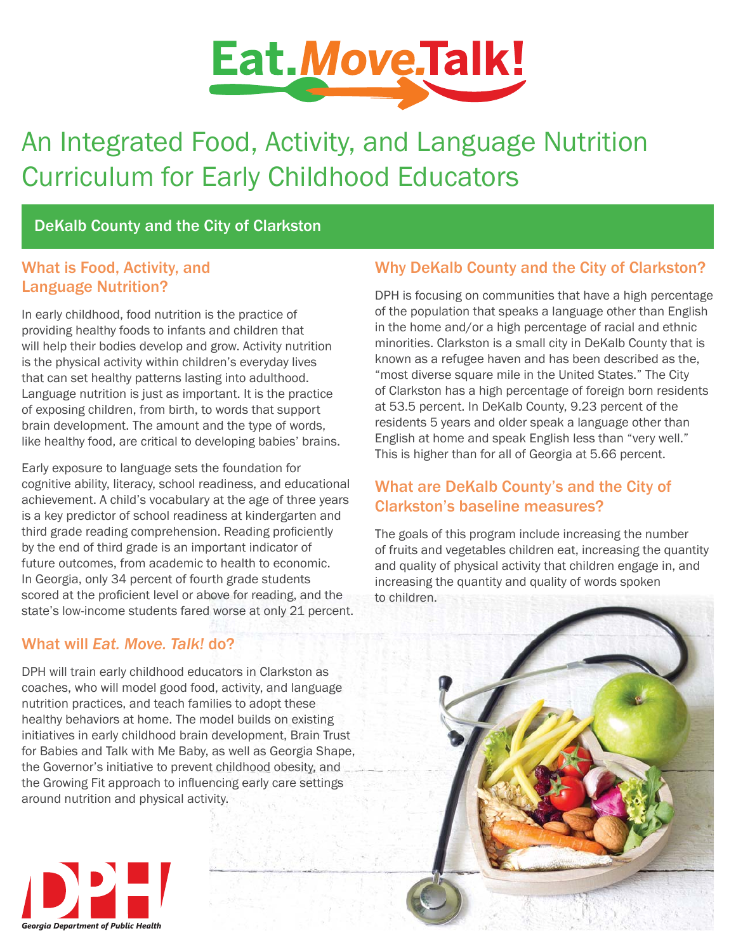

# An Integrated Food, Activity, and Language Nutrition Curriculum for Early Childhood Educators

## DeKalb County and the City of Clarkston

### What is Food, Activity, and Language Nutrition?

In early childhood, food nutrition is the practice of providing healthy foods to infants and children that will help their bodies develop and grow. Activity nutrition is the physical activity within children's everyday lives that can set healthy patterns lasting into adulthood. Language nutrition is just as important. It is the practice of exposing children, from birth, to words that support brain development. The amount and the type of words, like healthy food, are critical to developing babies' brains.

Early exposure to language sets the foundation for cognitive ability, literacy, school readiness, and educational achievement. A child's vocabulary at the age of three years is a key predictor of school readiness at kindergarten and third grade reading comprehension. Reading proficiently by the end of third grade is an important indicator of future outcomes, from academic to health to economic. In Georgia, only 34 percent of fourth grade students scored at the proficient level or above for reading, and the state's low-income students fared worse at only 21 percent.

## What will *Eat. Move. Talk!* do?

DPH will train early childhood educators in Clarkston as coaches, who will model good food, activity, and language nutrition practices, and teach families to adopt these healthy behaviors at home. The model builds on existing initiatives in early childhood brain development, Brain Trust for Babies and Talk with Me Baby, as well as Georgia Shape, the Governor's initiative to prevent childhood obesity, and the Growing Fit approach to influencing early care settings around nutrition and physical activity.

## Why DeKalb County and the City of Clarkston?

DPH is focusing on communities that have a high percentage of the population that speaks a language other than English in the home and/or a high percentage of racial and ethnic minorities. Clarkston is a small city in DeKalb County that is known as a refugee haven and has been described as the, "most diverse square mile in the United States." The City of Clarkston has a high percentage of foreign born residents at 53.5 percent. In DeKalb County, 9.23 percent of the residents 5 years and older speak a language other than English at home and speak English less than "very well." This is higher than for all of Georgia at 5.66 percent.

## What are DeKalb County's and the City of Clarkston's baseline measures?

The goals of this program include increasing the number of fruits and vegetables children eat, increasing the quantity and quality of physical activity that children engage in, and increasing the quantity and quality of words spoken to children.